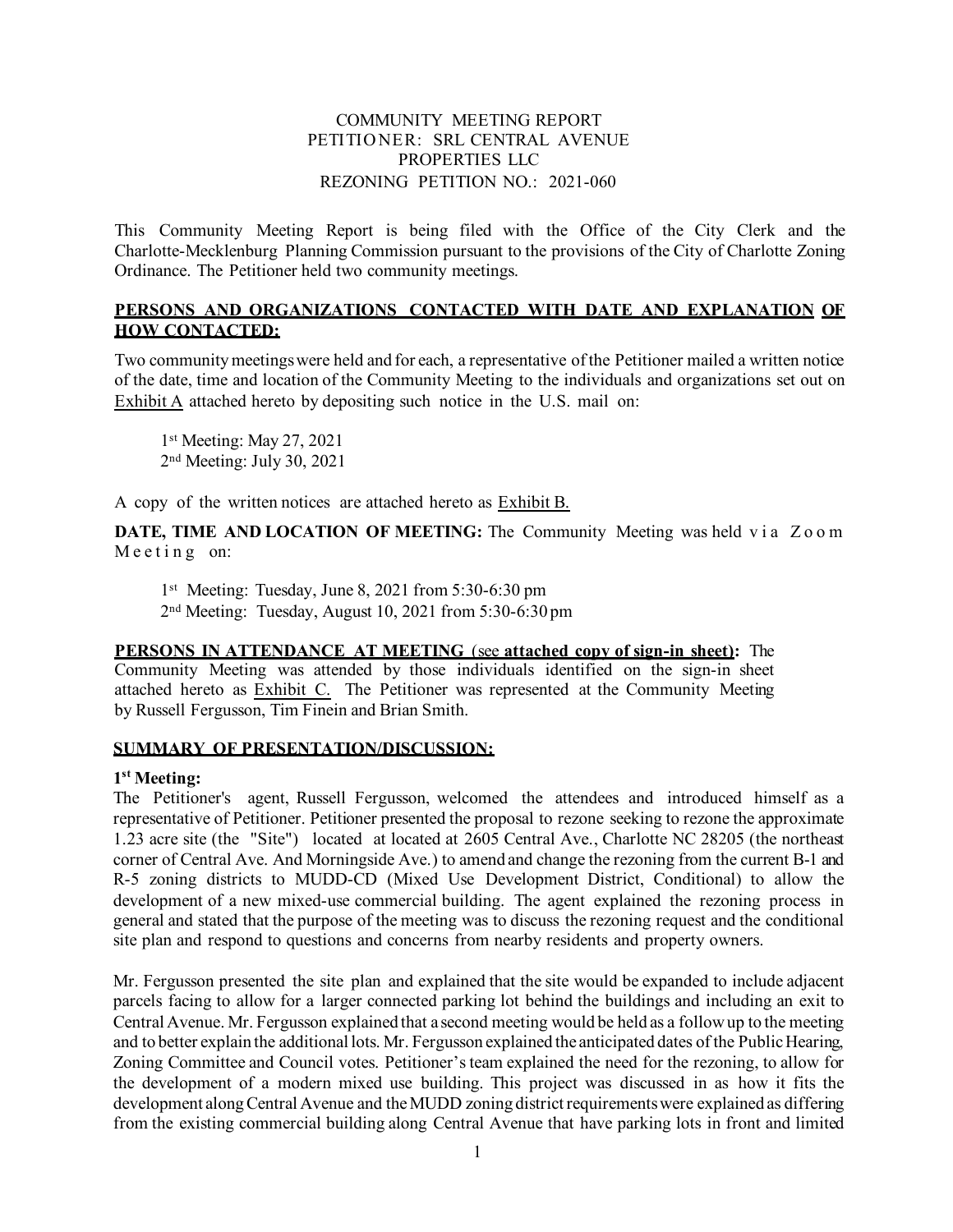### COMMUNITY MEETING REPORT PETITIO NER: SRL CENTRAL AVENUE PROPERTIES LLC REZONING PETITION NO.: 2021-060

This Community Meeting Report is being filed with the Office of the City Clerk and the Charlotte-Mecklenburg Planning Commission pursuant to the provisions of the City of Charlotte Zoning Ordinance. The Petitioner held two community meetings.

### **PERSONS AND ORGANIZATIONS CONTACTED WITH DATE AND EXPLANATION OF HOW CONTACTED:**

Two community meetings were held and for each, a representative of the Petitioner mailed a written notice of the date, time and location of the Community Meeting to the individuals and organizations set out on Exhibit A attached hereto by depositing such notice in the U.S. mail on:

1<sup>st</sup> Meeting: May 27, 2021 2nd Meeting: July 30, 2021

A copy of the written notices are attached hereto as Exhibit B.

**DATE, TIME AND LOCATION OF MEETING:** The Community Meeting was held via Zoom Meeting on:

1<sup>st</sup> Meeting: Tuesday, June 8, 2021 from 5:30-6:30 pm 2nd Meeting: Tuesday, August 10, 2021 from 5:30-6:30 pm

**PERSONS IN ATTENDANCE AT MEETING** (see **attached copy of sign-in sheet):** The Community Meeting was attended by those individuals identified on the sign-in sheet attached hereto as Exhibit C. The Petitioner was represented at the Community Meeting by Russell Fergusson, Tim Finein and Brian Smith.

### **SUMMARY OF PRESENTATION/DISCUSSION:**

### **1st Meeting:**

The Petitioner's agent, Russell Fergusson, welcomed the attendees and introduced himself as a representative of Petitioner. Petitioner presented the proposal to rezone seeking to rezone the approximate 1.23 acre site (the "Site") located at located at 2605 Central Ave., Charlotte NC 28205 (the northeast corner of Central Ave. And Morningside Ave.) to amend and change the rezoning from the current B-1 and R-5 zoning districts to MUDD-CD (Mixed Use Development District, Conditional) to allow the development of a new mixed-use commercial building. The agent explained the rezoning process in general and stated that the purpose of the meeting was to discuss the rezoning request and the conditional site plan and respond to questions and concerns from nearby residents and property owners.

Mr. Fergusson presented the site plan and explained that the site would be expanded to include adjacent parcels facing to allow for a larger connected parking lot behind the buildings and including an exit to Central Avenue. Mr. Fergusson explained that a second meeting would be held as a follow up to the meeting and to better explain the additional lots. Mr. Fergusson explained the anticipated dates of the Public Hearing, Zoning Committee and Council votes. Petitioner's team explained the need for the rezoning, to allow for the development of a modern mixed use building. This project was discussed in as how it fits the development along Central Avenue and the MUDD zoning district requirements were explained as differing from the existing commercial building along Central Avenue that have parking lots in front and limited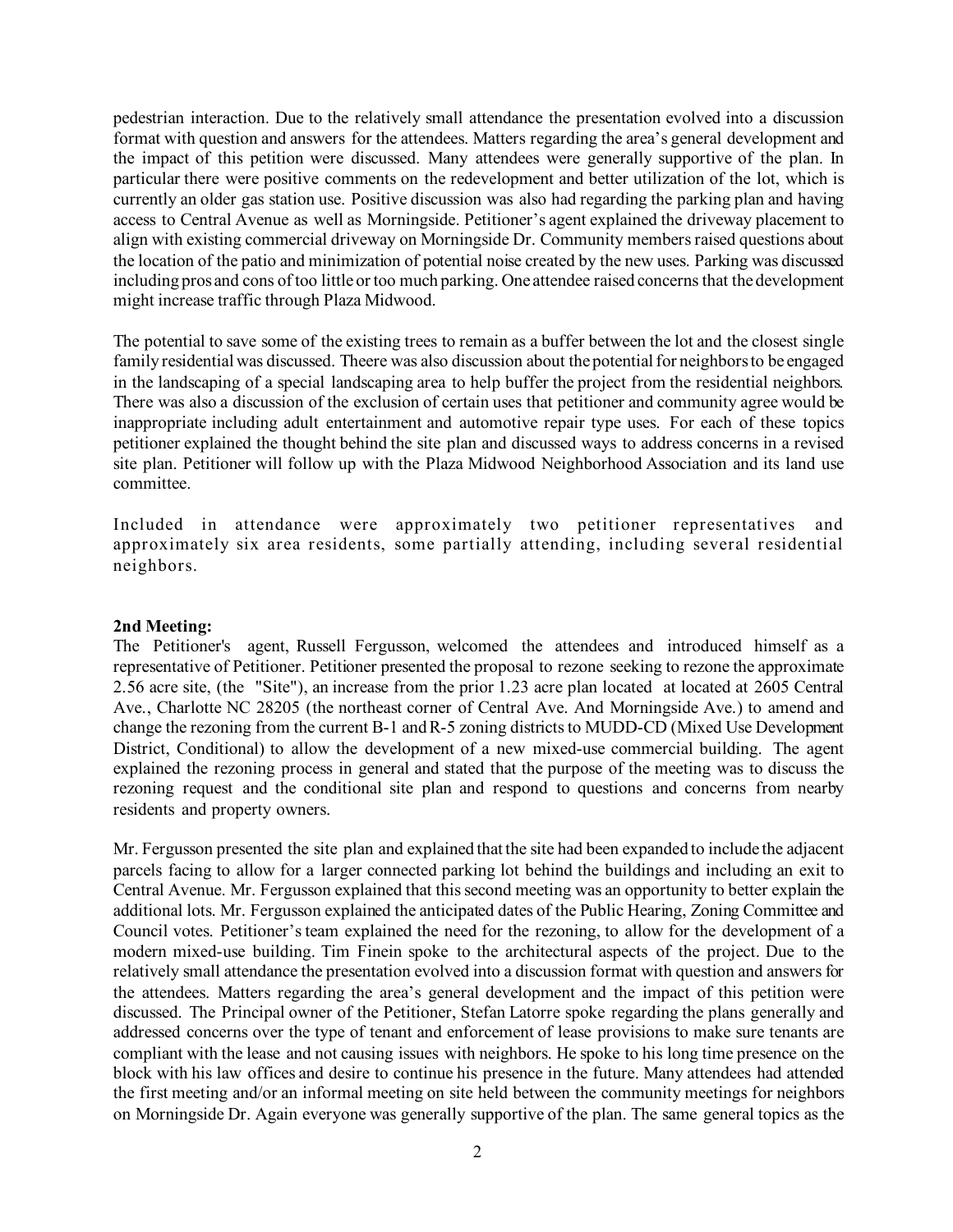pedestrian interaction. Due to the relatively small attendance the presentation evolved into a discussion format with question and answers for the attendees. Matters regarding the area's general development and the impact of this petition were discussed. Many attendees were generally supportive of the plan. In particular there were positive comments on the redevelopment and better utilization of the lot, which is currently an older gas station use. Positive discussion was also had regarding the parking plan and having access to Central Avenue as well as Morningside. Petitioner's agent explained the driveway placement to align with existing commercial driveway on Morningside Dr. Community members raised questions about the location of the patio and minimization of potential noise created by the new uses. Parking was discussed including pros and cons of too little or too much parking. One attendee raised concerns that the development might increase traffic through Plaza Midwood.

The potential to save some of the existing trees to remain as a buffer between the lot and the closest single family residential was discussed. Theere was also discussion about the potential for neighbors to be engaged in the landscaping of a special landscaping area to help buffer the project from the residential neighbors. There was also a discussion of the exclusion of certain uses that petitioner and community agree would be inappropriate including adult entertainment and automotive repair type uses. For each of these topics petitioner explained the thought behind the site plan and discussed ways to address concerns in a revised site plan. Petitioner will follow up with the Plaza Midwood Neighborhood Association and its land use committee.

Included in attendance were approximately two petitioner representatives and approximately six area residents, some partially attending, including several residential neighbors.

### **2nd Meeting:**

The Petitioner's agent, Russell Fergusson, welcomed the attendees and introduced himself as a representative of Petitioner. Petitioner presented the proposal to rezone seeking to rezone the approximate 2.56 acre site, (the "Site"), an increase from the prior 1.23 acre plan located at located at 2605 Central Ave., Charlotte NC 28205 (the northeast corner of Central Ave. And Morningside Ave.) to amend and change the rezoning from the current B-1 and R-5 zoning districts to MUDD-CD (Mixed Use Development District, Conditional) to allow the development of a new mixed-use commercial building. The agent explained the rezoning process in general and stated that the purpose of the meeting was to discuss the rezoning request and the conditional site plan and respond to questions and concerns from nearby residents and property owners.

Mr. Fergusson presented the site plan and explained that the site had been expanded to include the adjacent parcels facing to allow for a larger connected parking lot behind the buildings and including an exit to Central Avenue. Mr. Fergusson explained that this second meeting was an opportunity to better explain the additional lots. Mr. Fergusson explained the anticipated dates of the Public Hearing, Zoning Committee and Council votes. Petitioner's team explained the need for the rezoning, to allow for the development of a modern mixed-use building. Tim Finein spoke to the architectural aspects of the project. Due to the relatively small attendance the presentation evolved into a discussion format with question and answers for the attendees. Matters regarding the area's general development and the impact of this petition were discussed. The Principal owner of the Petitioner, Stefan Latorre spoke regarding the plans generally and addressed concerns over the type of tenant and enforcement of lease provisions to make sure tenants are compliant with the lease and not causing issues with neighbors. He spoke to his long time presence on the block with his law offices and desire to continue his presence in the future. Many attendees had attended the first meeting and/or an informal meeting on site held between the community meetings for neighbors on Morningside Dr. Again everyone was generally supportive of the plan. The same general topics as the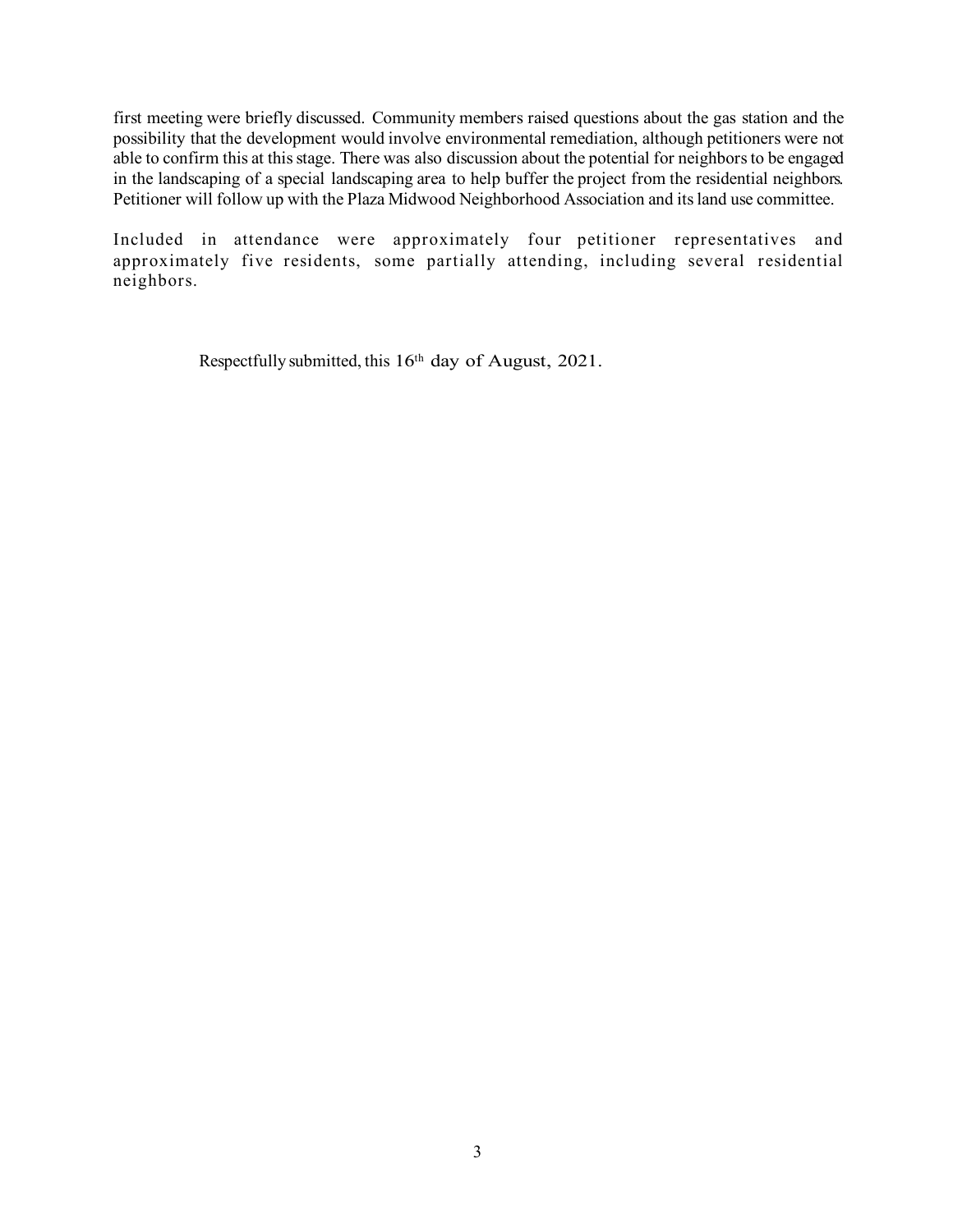first meeting were briefly discussed. Community members raised questions about the gas station and the possibility that the development would involve environmental remediation, although petitioners were not able to confirm this at this stage. There was also discussion about the potential for neighbors to be engaged in the landscaping of a special landscaping area to help buffer the project from the residential neighbors. Petitioner will follow up with the Plaza Midwood Neighborhood Association and its land use committee.

Included in attendance were approximately four petitioner representatives and approximately five residents, some partially attending, including several residential neighbors.

Respectfully submitted, this 16<sup>th</sup> day of August, 2021.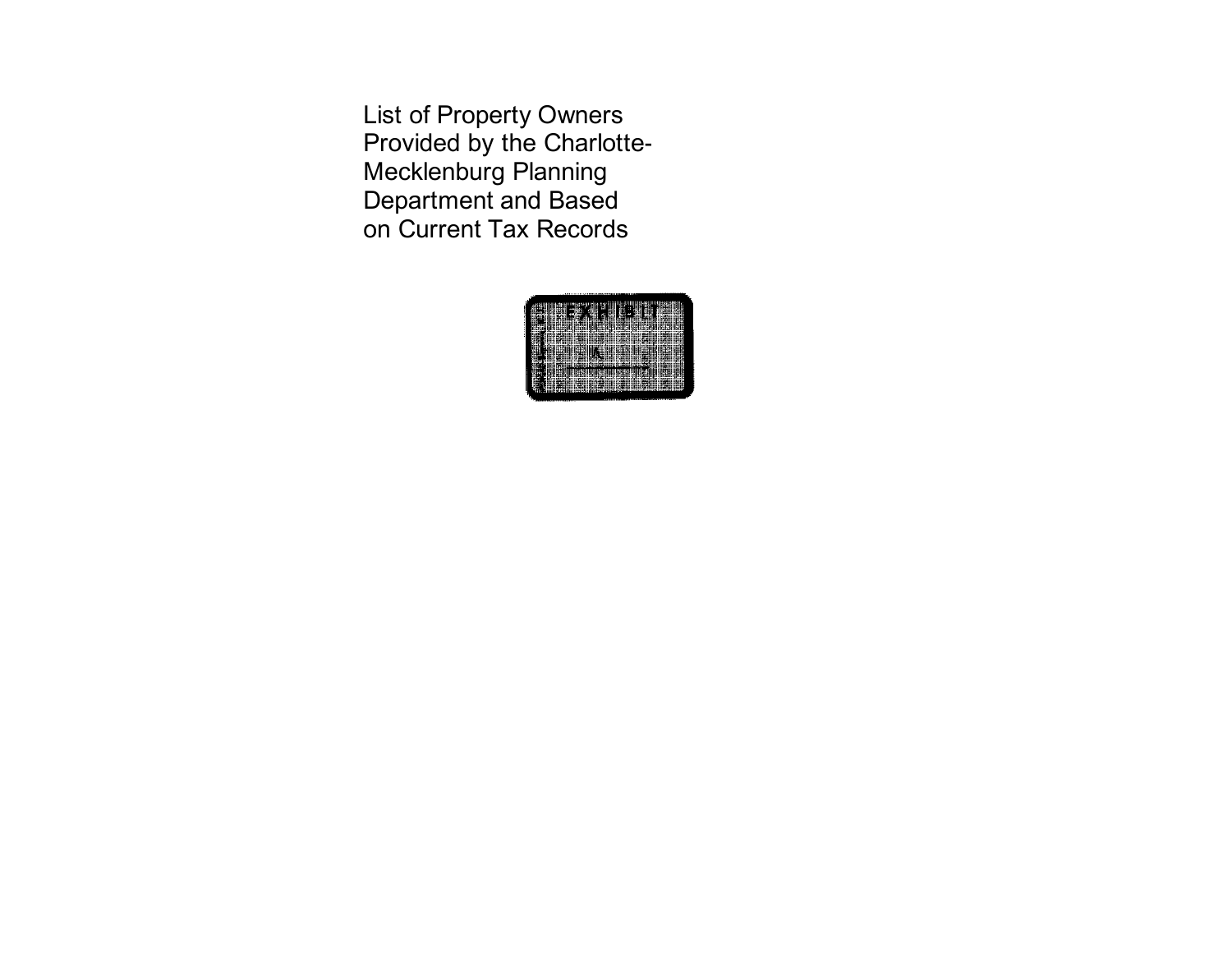List of Property Owners Provided by the Charlotte-Mecklenburg Planning Department and Based on Current Tax Records

| ×.                 |
|--------------------|
|                    |
| P<br>٠<br>Ħ<br>    |
|                    |
| m                  |
| 脂<br>883           |
| ٠                  |
|                    |
|                    |
| ı<br>٠             |
| ₩                  |
| ᄟ<br>Ħ<br>. .<br>٠ |
|                    |
|                    |
| Ŧ                  |
| н                  |
|                    |
|                    |
| ı                  |
|                    |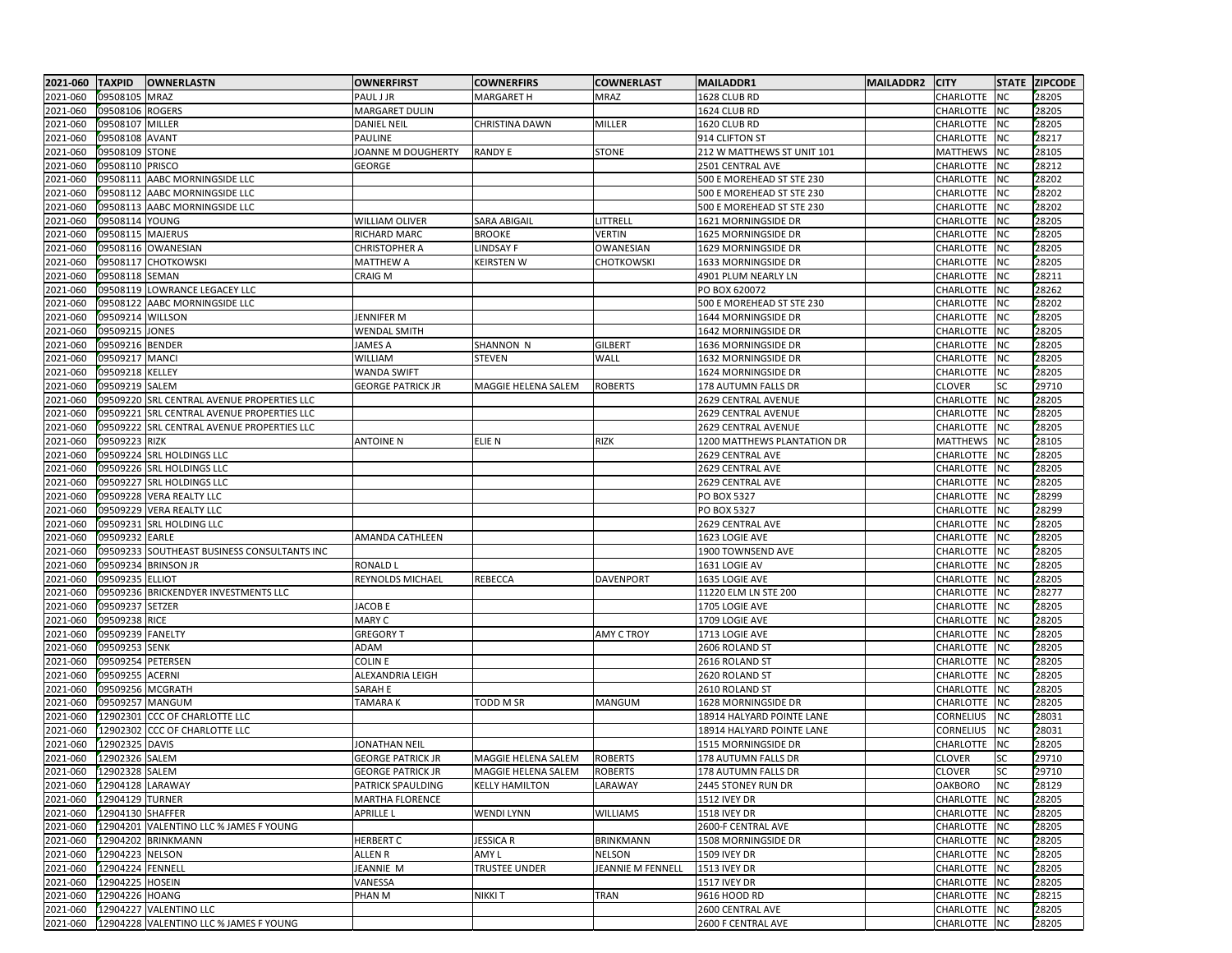| 2021-060 TAXPID           |                   | <b>OWNERLASTN</b>                               | <b>OWNERFIRST</b>        | <b>COWNERFIRS</b>     | <b>COWNERLAST</b>        | MAILADDR1                   | MAILADDR2 CITY |                 |           | <b>STATE ZIPCODE</b> |
|---------------------------|-------------------|-------------------------------------------------|--------------------------|-----------------------|--------------------------|-----------------------------|----------------|-----------------|-----------|----------------------|
| 2021-060                  | 09508105 MRAZ     |                                                 | PAUL J JR                | <b>MARGARET H</b>     | MRAZ                     | 1628 CLUB RD                |                | CHARLOTTE NC    |           | 28205                |
| 2021-060                  | 09508106          | <b>ROGERS</b>                                   | MARGARET DULIN           |                       |                          | 1624 CLUB RD                |                | CHARLOTTE NC    |           | 28205                |
| 2021-060                  | 09508107          | MILLER                                          | <b>DANIEL NEIL</b>       | <b>CHRISTINA DAWN</b> | MILLER                   | 1620 CLUB RD                |                | CHARLOTTE NC    |           | 28205                |
| 2021-060                  | 09508108 AVANT    |                                                 | PAULINE                  |                       |                          | 914 CLIFTON ST              |                | CHARLOTTE       | <b>NC</b> | 28217                |
| 2021-060                  | 09508109          | <b>STONE</b>                                    | JOANNE M DOUGHERTY       | <b>RANDY E</b>        | <b>STONE</b>             | 212 W MATTHEWS ST UNIT 101  |                | MATTHEWS        | <b>NC</b> | 28105                |
| 2021-060                  | 09508110 PRISCO   |                                                 | <b>GEORGE</b>            |                       |                          | 2501 CENTRAL AVE            |                | CHARLOTTE       | <b>NC</b> | 28212                |
| 2021-060                  | 09508111          | AABC MORNINGSIDE LLC                            |                          |                       |                          | 500 E MOREHEAD ST STE 230   |                | CHARLOTTE       | <b>NC</b> | 28202                |
| 2021-060                  |                   | 09508112 AABC MORNINGSIDE LLC                   |                          |                       |                          | 500 E MOREHEAD ST STE 230   |                | CHARLOTTE       | <b>NC</b> | 28202                |
| 2021-060                  |                   | 09508113 AABC MORNINGSIDE LLC                   |                          |                       |                          | 500 E MOREHEAD ST STE 230   |                | CHARLOTTE       | <b>NC</b> | 28202                |
| 2021-060                  | 09508114 YOUNG    |                                                 | WILLIAM OLIVER           | <b>SARA ABIGAIL</b>   | LITTRELL                 | 1621 MORNINGSIDE DR         |                | CHARLOTTE       | <b>NC</b> | 28205                |
| 2021-060                  | 09508115 MAJERUS  |                                                 | RICHARD MARC             | <b>BROOKE</b>         | <b>VERTIN</b>            | 1625 MORNINGSIDE DR         |                | CHARLOTTE NC    |           | 28205                |
| 2021-060                  |                   | 09508116 OWANESIAN                              | <b>CHRISTOPHER A</b>     | <b>LINDSAY F</b>      | OWANESIAN                | 1629 MORNINGSIDE DR         |                | CHARLOTTE       | <b>NC</b> | 28205                |
| 2021-060                  |                   | 09508117 CHOTKOWSKI                             | <b>MATTHEW A</b>         | KEIRSTEN W            | <b>CHOTKOWSKI</b>        | 1633 MORNINGSIDE DR         |                | CHARLOTTE NC    |           | 28205                |
| 2021-060                  | 09508118 SEMAN    |                                                 | <b>CRAIG M</b>           |                       |                          | 4901 PLUM NEARLY LN         |                | CHARLOTTE       | <b>NC</b> | 28211                |
| 2021-060                  |                   | 09508119 LOWRANCE LEGACEY LLC                   |                          |                       |                          | PO BOX 620072               |                | CHARLOTTE NC    |           | 28262                |
| 2021-060                  |                   | 09508122 AABC MORNINGSIDE LLC                   |                          |                       |                          | 500 E MOREHEAD ST STE 230   |                | CHARLOTTE       | <b>NC</b> | 28202                |
| 2021-060                  | 09509214 WILLSON  |                                                 | JENNIFER M               |                       |                          | 1644 MORNINGSIDE DR         |                | CHARLOTTE NC    |           | 28205                |
| 2021-060                  | 09509215 JONES    |                                                 | <b>WENDAL SMITH</b>      |                       |                          | 1642 MORNINGSIDE DR         |                | CHARLOTTE       | <b>NC</b> | 28205                |
| 2021-060                  | 09509216 BENDER   |                                                 | JAMES A                  | SHANNON N             | <b>GILBERT</b>           | 1636 MORNINGSIDE DR         |                | CHARLOTTE NC    |           | 28205                |
| 2021-060                  | 09509217          | <b>MANCI</b>                                    | WILLIAM                  | <b>STEVEN</b>         | WALL                     | 1632 MORNINGSIDE DR         |                | CHARLOTTE       | <b>NC</b> | 28205                |
| 2021-060                  | 09509218 KELLEY   |                                                 | <b>WANDA SWIFT</b>       |                       |                          | 1624 MORNINGSIDE DR         |                | CHARLOTTE NC    |           | 28205                |
| 2021-060                  | 09509219 SALEM    |                                                 | <b>GEORGE PATRICK JR</b> | MAGGIE HELENA SALEM   | <b>ROBERTS</b>           | 178 AUTUMN FALLS DR         |                | <b>CLOVER</b>   | SC        | 29710                |
| 2021-060                  |                   | 09509220 SRL CENTRAL AVENUE PROPERTIES LLC      |                          |                       |                          | 2629 CENTRAL AVENUE         |                | CHARLOTTE NC    |           | 28205                |
| 2021-060                  |                   | 09509221 SRL CENTRAL AVENUE PROPERTIES LLC      |                          |                       |                          | 2629 CENTRAL AVENUE         |                | CHARLOTTE       | NC        | 28205                |
| 2021-060                  |                   | 09509222 SRL CENTRAL AVENUE PROPERTIES LLC      |                          |                       |                          | 2629 CENTRAL AVENUE         |                | CHARLOTTE       | <b>NC</b> | 28205                |
| 2021-060                  | 09509223 RIZK     |                                                 | <b>ANTOINE N</b>         | <b>ELIE N</b>         | <b>RIZK</b>              | 1200 MATTHEWS PLANTATION DR |                | <b>MATTHEWS</b> | <b>NC</b> | 28105                |
| 2021-060                  |                   | 09509224 SRL HOLDINGS LLC                       |                          |                       |                          | 2629 CENTRAL AVE            |                | CHARLOTTE       | <b>NC</b> | 28205                |
| 2021-060                  |                   | 09509226 SRL HOLDINGS LLC                       |                          |                       |                          | 2629 CENTRAL AVE            |                | CHARLOTTE       | NC        | 28205                |
| 2021-060                  |                   | 09509227 SRL HOLDINGS LLC                       |                          |                       |                          | 2629 CENTRAL AVE            |                | CHARLOTTE       | <b>NC</b> | 28205                |
| 2021-060                  |                   | 09509228 VERA REALTY LLC                        |                          |                       |                          | PO BOX 5327                 |                | CHARLOTTE       | <b>NC</b> | 28299                |
| 2021-060                  |                   | 09509229 VERA REALTY LLC                        |                          |                       |                          | <b>PO BOX 5327</b>          |                | CHARLOTTE       | <b>NC</b> | 28299                |
| 2021-060                  |                   | 09509231 SRL HOLDING LLC                        |                          |                       |                          | 2629 CENTRAL AVE            |                | CHARLOTTE       | <b>NC</b> | 28205                |
| 2021-060                  | 09509232 EARLE    |                                                 | AMANDA CATHLEEN          |                       |                          | 1623 LOGIE AVE              |                | CHARLOTTE       | <b>NC</b> | 28205                |
| 2021-060                  |                   | 09509233 SOUTHEAST BUSINESS CONSULTANTS INC     |                          |                       |                          | 1900 TOWNSEND AVE           |                | CHARLOTTE       | NC        | 28205                |
| 2021-060                  |                   | 09509234 BRINSON JR                             | <b>RONALD L</b>          |                       |                          | 1631 LOGIE AV               |                | CHARLOTTE       | <b>NC</b> | 28205                |
| 2021-060                  | 09509235 ELLIOT   |                                                 | REYNOLDS MICHAEL         | REBECCA               | DAVENPORT                | 1635 LOGIE AVE              |                | CHARLOTTE NC    |           | 28205                |
| 2021-060                  |                   | 09509236 BRICKENDYER INVESTMENTS LLC            |                          |                       |                          | 11220 ELM LN STE 200        |                | CHARLOTTE       | <b>NC</b> | 28277                |
| 2021-060                  | 09509237 SETZER   |                                                 | <b>JACOBE</b>            |                       |                          | 1705 LOGIE AVE              |                | CHARLOTTE       | <b>NC</b> | 28205                |
| 2021-060                  | 09509238 RICE     |                                                 | MARY C                   |                       |                          | 1709 LOGIE AVE              |                | CHARLOTTE       | NC        | 28205                |
| 2021-060                  | 09509239 FANELTY  |                                                 | <b>GREGORY T</b>         |                       | AMY C TROY               | 1713 LOGIE AVE              |                | CHARLOTTE       | <b>NC</b> | 28205                |
| 2021-060                  | 09509253 SENK     |                                                 | ADAM                     |                       |                          | 2606 ROLAND ST              |                | CHARLOTTE       | <b>NC</b> | 28205                |
| 2021-060                  | 09509254 PETERSEN |                                                 | <b>COLIN E</b>           |                       |                          | 2616 ROLAND ST              |                | CHARLOTTE       | <b>NC</b> | 28205                |
| 2021-060                  | 09509255 ACERNI   |                                                 | ALEXANDRIA LEIGH         |                       |                          | 2620 ROLAND ST              |                | CHARLOTTE       | <b>NC</b> | 28205                |
| 2021-060                  | 09509256 MCGRATH  |                                                 | SARAH E                  |                       |                          | 2610 ROLAND ST              |                | CHARLOTTE       | <b>NC</b> | 28205                |
| 2021-060                  | 09509257 MANGUM   |                                                 | <b>TAMARAK</b>           | <b>TODD M SR</b>      | MANGUM                   | 1628 MORNINGSIDE DR         |                | CHARLOTTE       | NC        | 28205                |
| 2021-060                  |                   | 12902301 CCC OF CHARLOTTE LLC                   |                          |                       |                          | 18914 HALYARD POINTE LANE   |                | CORNELIUS       | <b>NC</b> | 28031                |
| 2021-060                  |                   | 12902302 CCC OF CHARLOTTE LLC                   |                          |                       |                          | 18914 HALYARD POINTE LANE   |                | CORNELIUS       | <b>NC</b> | 28031                |
| 2021-060                  | 12902325 DAVIS    |                                                 | JONATHAN NEIL            |                       |                          | 1515 MORNINGSIDE DR         |                | CHARLOTTE       | <b>NC</b> | 28205                |
| 2021-060                  | 12902326 SALEM    |                                                 | <b>GEORGE PATRICK JR</b> | MAGGIE HELENA SALEM   | <b>ROBERTS</b>           | 178 AUTUMN FALLS DR         |                | <b>CLOVER</b>   | SC        | 29710                |
| 2021-060 12902328 SALEM   |                   |                                                 | <b>GEORGE PATRICK JR</b> | MAGGIE HELENA SALEM   | <b>ROBERTS</b>           | 178 AUTUMN FALLS DR         |                | <b>CLOVER</b>   | SC        | 29710                |
| 2021-060 12904128 LARAWAY |                   |                                                 | PATRICK SPAULDING        | <b>KELLY HAMILTON</b> | LARAWAY                  | 2445 STONEY RUN DR          |                | OAKBORO         | <b>NC</b> | 28129                |
| 2021-060 12904129 TURNER  |                   |                                                 | <b>MARTHA FLORENCE</b>   |                       |                          | 1512 IVEY DR                |                | CHARLOTTE NC    |           | 28205                |
| 2021-060                  | 12904130 SHAFFER  |                                                 | <b>APRILLE L</b>         | <b>WENDI LYNN</b>     | <b>WILLIAMS</b>          | 1518 IVEY DR                |                | CHARLOTTE NC    |           | 28205                |
| 2021-060                  |                   | 12904201 VALENTINO LLC % JAMES F YOUNG          |                          |                       |                          | 2600-F CENTRAL AVE          |                | CHARLOTTE NC    |           | 28205                |
| 2021-060                  |                   | 12904202 BRINKMANN                              | <b>HERBERT C</b>         | JESSICA R             | BRINKMANN                | 1508 MORNINGSIDE DR         |                | CHARLOTTE NC    |           | 28205                |
| 2021-060 12904223 NELSON  |                   |                                                 | ALLEN R                  | AMY L                 | NELSON                   | 1509 IVEY DR                |                | CHARLOTTE NC    |           | 28205                |
| 2021-060                  | 12904224 FENNELL  |                                                 | JEANNIE M                | <b>TRUSTEE UNDER</b>  | <b>JEANNIE M FENNELL</b> | <b>1513 IVEY DR</b>         |                | CHARLOTTE NC    |           | 28205                |
| 2021-060                  | [12904225 HOSEIN] |                                                 | VANESSA                  |                       |                          | 1517 IVEY DR                |                | CHARLOTTE NC    |           | 28205                |
| 2021-060                  | 12904226 HOANG    |                                                 | PHAN M                   | <b>NIKKIT</b>         | TRAN                     | 9616 HOOD RD                |                | CHARLOTTE NC    |           | 28215                |
| 2021-060                  |                   | 12904227 VALENTINO LLC                          |                          |                       |                          | 2600 CENTRAL AVE            |                | CHARLOTTE NC    |           | 28205                |
|                           |                   | 2021-060 12904228 VALENTINO LLC % JAMES F YOUNG |                          |                       |                          | 2600 F CENTRAL AVE          |                | CHARLOTTE NC    |           | 28205                |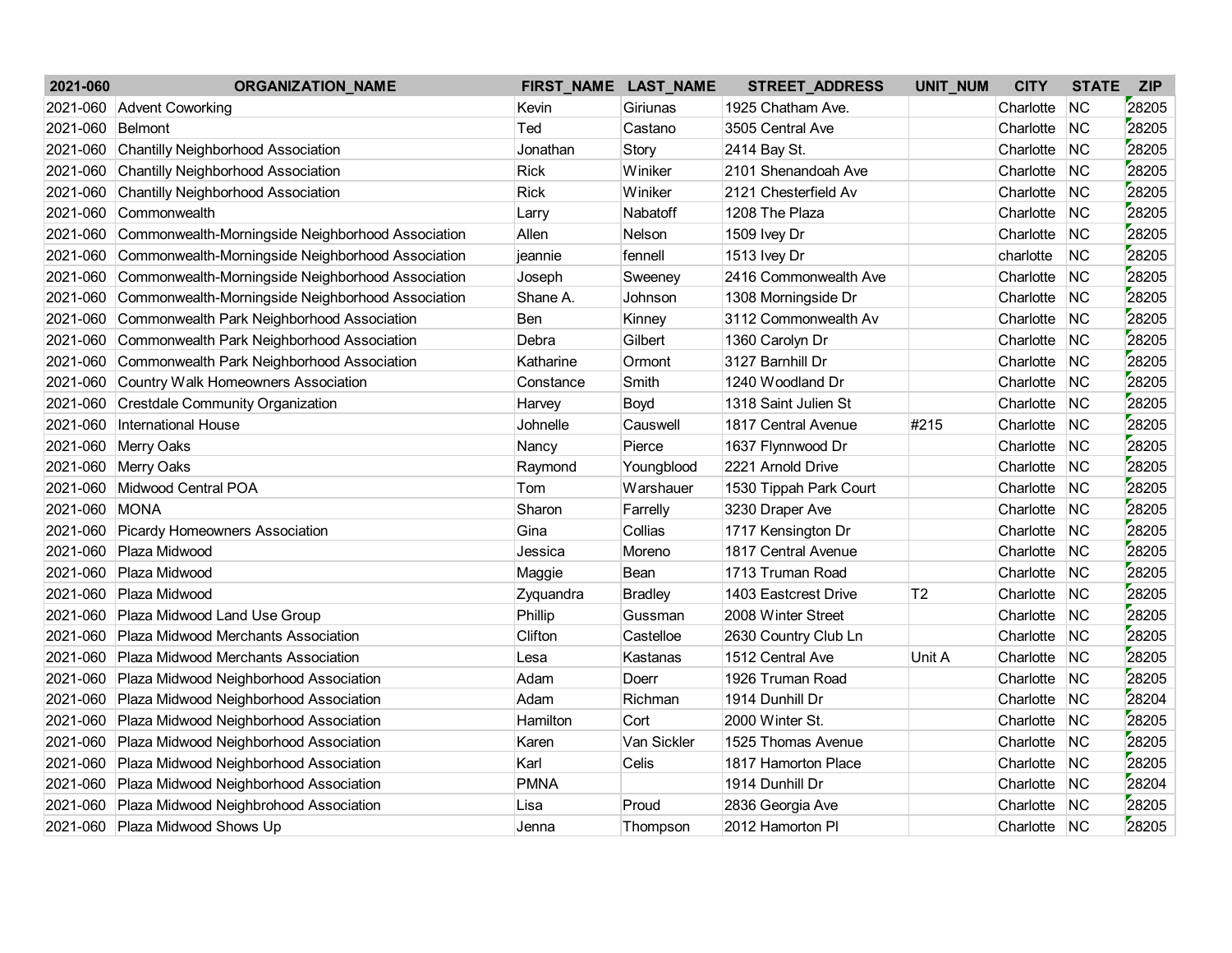| 2021-060 | <b>ORGANIZATION_NAME</b>                          |             | FIRST_NAME LAST_NAME | STREET_ADDRESS         | UNIT_NUM       | <b>CITY</b>  | <b>STATE</b> | <b>ZIP</b> |
|----------|---------------------------------------------------|-------------|----------------------|------------------------|----------------|--------------|--------------|------------|
| 2021-060 | <b>Advent Coworking</b>                           | Kevin       | Giriunas             | 1925 Chatham Ave.      |                | Charlotte    | <b>NC</b>    | 28205      |
| 2021-060 | Belmont                                           | Ted         | Castano              | 3505 Central Ave       |                | Charlotte    | <b>NC</b>    | 28205      |
| 2021-060 | <b>Chantilly Neighborhood Association</b>         | Jonathan    | Story                | 2414 Bay St.           |                | Charlotte    | <b>NC</b>    | 28205      |
| 2021-060 | <b>Chantilly Neighborhood Association</b>         | <b>Rick</b> | Winiker              | 2101 Shenandoah Ave    |                | Charlotte    | <b>NC</b>    | 28205      |
| 2021-060 | <b>Chantilly Neighborhood Association</b>         | <b>Rick</b> | Winiker              | 2121 Chesterfield Av   |                | Charlotte    | <b>NC</b>    | 28205      |
| 2021-060 | Commonwealth                                      | Larry       | Nabatoff             | 1208 The Plaza         |                | Charlotte    | <b>NC</b>    | 28205      |
| 2021-060 | Commonwealth-Morningside Neighborhood Association | Allen       | Nelson               | 1509 Ivey Dr           |                | Charlotte    | <b>NC</b>    | 28205      |
| 2021-060 | Commonwealth-Morningside Neighborhood Association | jeannie     | fennell              | 1513 Ivey Dr           |                | charlotte    | <b>NC</b>    | 28205      |
| 2021-060 | Commonwealth-Morningside Neighborhood Association | Joseph      | Sweeney              | 2416 Commonwealth Ave  |                | Charlotte    | <b>NC</b>    | 28205      |
| 2021-060 | Commonwealth-Morningside Neighborhood Association | Shane A.    | Johnson              | 1308 Morningside Dr    |                | Charlotte    | <b>NC</b>    | 28205      |
| 2021-060 | Commonwealth Park Neighborhood Association        | <b>Ben</b>  | Kinney               | 3112 Commonwealth Av   |                | Charlotte    | <b>NC</b>    | 28205      |
| 2021-060 | Commonwealth Park Neighborhood Association        | Debra       | Gilbert              | 1360 Carolyn Dr        |                | Charlotte    | <b>NC</b>    | 28205      |
| 2021-060 | Commonwealth Park Neighborhood Association        | Katharine   | Ormont               | 3127 Barnhill Dr       |                | Charlotte    | <b>NC</b>    | 28205      |
| 2021-060 | Country Walk Homeowners Association               | Constance   | Smith                | 1240 Woodland Dr       |                | Charlotte    | <b>NC</b>    | 28205      |
| 2021-060 | <b>Crestdale Community Organization</b>           | Harvey      | Boyd                 | 1318 Saint Julien St   |                | Charlotte    | <b>NC</b>    | 28205      |
| 2021-060 | <b>International House</b>                        | Johnelle    | Causwell             | 1817 Central Avenue    | #215           | Charlotte    | <b>NC</b>    | 28205      |
| 2021-060 | Merry Oaks                                        | Nancy       | Pierce               | 1637 Flynnwood Dr      |                | Charlotte    | <b>NC</b>    | 28205      |
| 2021-060 | Merry Oaks                                        | Raymond     | Youngblood           | 2221 Arnold Drive      |                | Charlotte    | <b>NC</b>    | 28205      |
| 2021-060 | Midwood Central POA                               | Tom         | Warshauer            | 1530 Tippah Park Court |                | Charlotte    | <b>NC</b>    | 28205      |
| 2021-060 | <b>MONA</b>                                       | Sharon      | Farrelly             | 3230 Draper Ave        |                | Charlotte    | <b>NC</b>    | 28205      |
| 2021-060 | <b>Picardy Homeowners Association</b>             | Gina        | Collias              | 1717 Kensington Dr     |                | Charlotte    | <b>NC</b>    | 28205      |
| 2021-060 | Plaza Midwood                                     | Jessica     | Moreno               | 1817 Central Avenue    |                | Charlotte    | <b>NC</b>    | 28205      |
| 2021-060 | Plaza Midwood                                     | Maggie      | Bean                 | 1713 Truman Road       |                | Charlotte    | <b>NC</b>    | 28205      |
| 2021-060 | Plaza Midwood                                     | Zyquandra   | <b>Bradley</b>       | 1403 Eastcrest Drive   | T <sub>2</sub> | Charlotte    | <b>NC</b>    | 28205      |
| 2021-060 | Plaza Midwood Land Use Group                      | Phillip     | Gussman              | 2008 Winter Street     |                | Charlotte    | <b>NC</b>    | 28205      |
| 2021-060 | Plaza Midwood Merchants Association               | Clifton     | Castelloe            | 2630 Country Club Ln   |                | Charlotte    | <b>NC</b>    | 28205      |
| 2021-060 | Plaza Midwood Merchants Association               | Lesa        | Kastanas             | 1512 Central Ave       | Unit A         | Charlotte    | <b>NC</b>    | 28205      |
| 2021-060 | Plaza Midwood Neighborhood Association            | Adam        | Doerr                | 1926 Truman Road       |                | Charlotte    | <b>NC</b>    | 28205      |
| 2021-060 | Plaza Midwood Neighborhood Association            | Adam        | Richman              | 1914 Dunhill Dr        |                | Charlotte    | <b>NC</b>    | 28204      |
| 2021-060 | Plaza Midwood Neighborhood Association            | Hamilton    | Cort                 | 2000 Winter St.        |                | Charlotte    | <b>NC</b>    | 28205      |
| 2021-060 | Plaza Midwood Neighborhood Association            | Karen       | Van Sickler          | 1525 Thomas Avenue     |                | Charlotte    | <b>NC</b>    | 28205      |
| 2021-060 | Plaza Midwood Neighborhood Association            | Karl        | Celis                | 1817 Hamorton Place    |                | Charlotte    | <b>NC</b>    | 28205      |
| 2021-060 | Plaza Midwood Neighborhood Association            | PMNA        |                      | 1914 Dunhill Dr        |                | Charlotte    | <b>NC</b>    | 28204      |
| 2021-060 | Plaza Midwood Neighbrohood Association            | Lisa        | Proud                | 2836 Georgia Ave       |                | Charlotte    | <b>NC</b>    | 28205      |
| 2021-060 | Plaza Midwood Shows Up                            | Jenna       | Thompson             | 2012 Hamorton PI       |                | Charlotte NC |              | 28205      |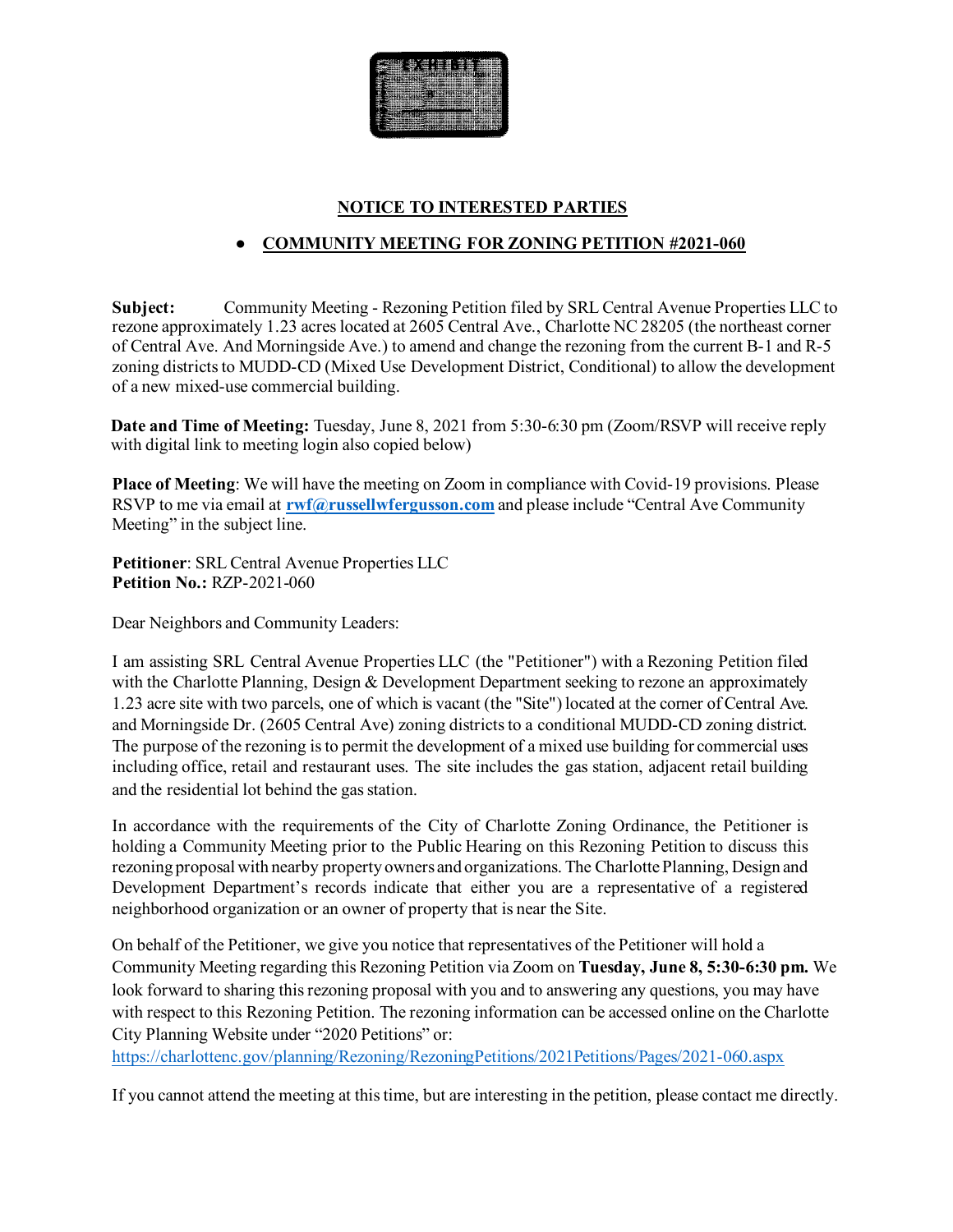

# **NOTICE TO INTERESTED PARTIES**

# ● **COMMUNITY MEETING FOR ZONING PETITION #2021-060**

**Subject:** Community Meeting - Rezoning Petition filed by SRL Central Avenue Properties LLC to rezone approximately 1.23 acres located at 2605 Central Ave., Charlotte NC 28205 (the northeast corner of Central Ave. And Morningside Ave.) to amend and change the rezoning from the current B-1 and R-5 zoning districts to MUDD-CD (Mixed Use Development District, Conditional) to allow the development of a new mixed-use commercial building.

**Date and Time of Meeting:** Tuesday, June 8, 2021 from 5:30-6:30 pm (Zoom/RSVP will receive reply with digital link to meeting login also copied below)

**Place of Meeting**: We will have the meeting on Zoom in compliance with Covid-19 provisions. Please RSVP to me via email at **[rwf@russellwfergusson.com](mailto:rwf@russellwfergusson.com)** and please include "Central Ave Community" Meeting" in the subject line.

**Petitioner**: SRL Central Avenue Properties LLC **Petition No.:** RZP-2021-060

Dear Neighbors and Community Leaders:

I am assisting SRL Central Avenue Properties LLC (the "Petitioner") with a Rezoning Petition filed with the Charlotte Planning, Design & Development Department seeking to rezone an approximately 1.23 acre site with two parcels, one of which is vacant (the "Site") located at the corner of Central Ave. and Morningside Dr. (2605 Central Ave) zoning districts to a conditional MUDD-CD zoning district. The purpose of the rezoning is to permit the development of a mixed use building for commercial uses including office, retail and restaurant uses. The site includes the gas station, adjacent retail building and the residential lot behind the gas station.

In accordance with the requirements of the City of Charlotte Zoning Ordinance, the Petitioner is holding a Community Meeting prior to the Public Hearing on this Rezoning Petition to discuss this rezoning proposal with nearby property owners and organizations. The Charlotte Planning, Design and Development Department's records indicate that either you are a representative of a registered neighborhood organization or an owner of property that is near the Site.

On behalf of the Petitioner, we give you notice that representatives of the Petitioner will hold a Community Meeting regarding this Rezoning Petition via Zoom on **Tuesday, June 8, 5:30-6:30 pm.** We look forward to sharing this rezoning proposal with you and to answering any questions, you may have with respect to this Rezoning Petition. The rezoning information can be accessed online on the Charlotte City Planning Website under "2020 Petitions" or:

<https://charlottenc.gov/planning/Rezoning/RezoningPetitions/2021Petitions/Pages/2021-060.aspx>

If you cannot attend the meeting at this time, but are interesting in the petition, please contact me directly.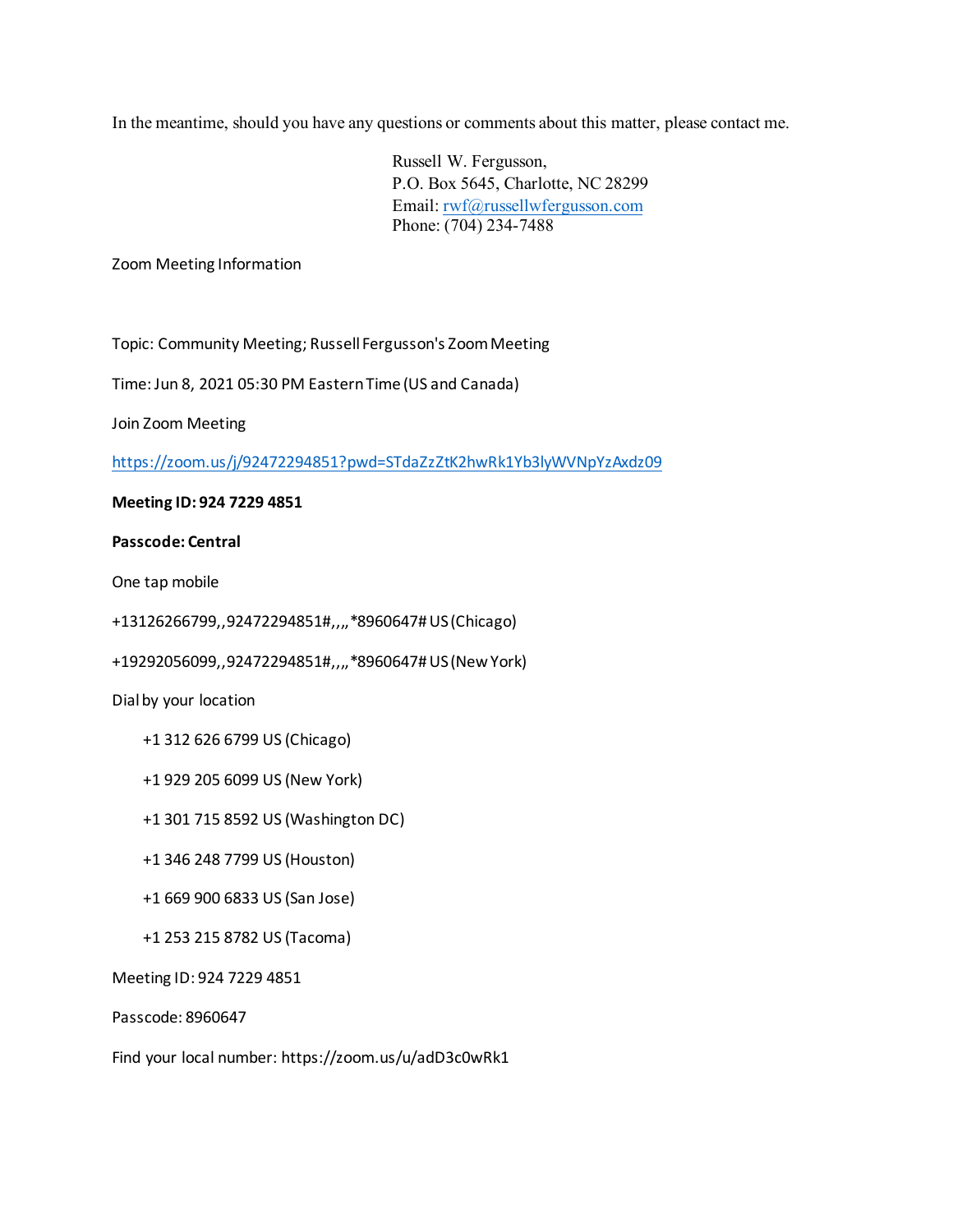In the meantime, should you have any questions or comments about this matter, please contact me.

Russell W. Fergusson, P.O. Box 5645, Charlotte, NC 28299 Email[: rwf@russellwfergusson.com](mailto:rwf@russellwfergusson.com) Phone: (704) 234-7488

Zoom Meeting Information

Topic: Community Meeting; Russell Fergusson's Zoom Meeting

Time: Jun 8, 2021 05:30 PM Eastern Time (US and Canada)

Join Zoom Meeting

<https://zoom.us/j/92472294851?pwd=STdaZzZtK2hwRk1Yb3lyWVNpYzAxdz09>

#### **Meeting ID: 924 7229 4851**

#### **Passcode: Central**

One tap mobile

+13126266799,,92472294851#,,,,\*8960647#US (Chicago)

+19292056099,,92472294851#,,,,\*8960647# US (New York)

Dial by your location

- +1 312 626 6799 US (Chicago)
- +1 929 205 6099 US (New York)
- +1 301 715 8592 US (Washington DC)
- +1 346 248 7799 US (Houston)
- +1 669 900 6833 US (San Jose)
- +1 253 215 8782 US (Tacoma)

Meeting ID: 924 7229 4851

Passcode: 8960647

Find your local number: https://zoom.us/u/adD3c0wRk1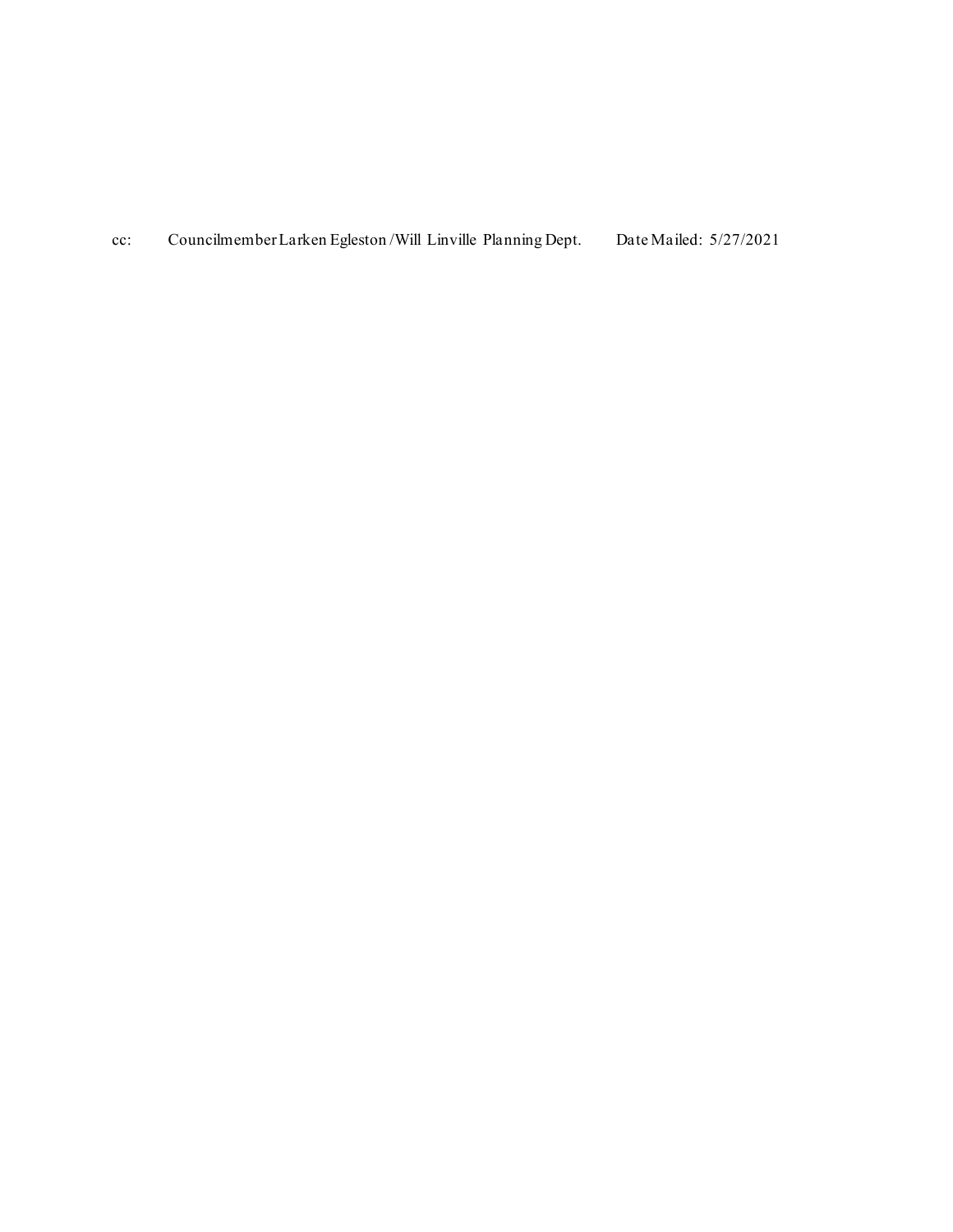cc: Councilmember Larken Egleston /Will Linville Planning Dept. Date Mailed: 5/27/2021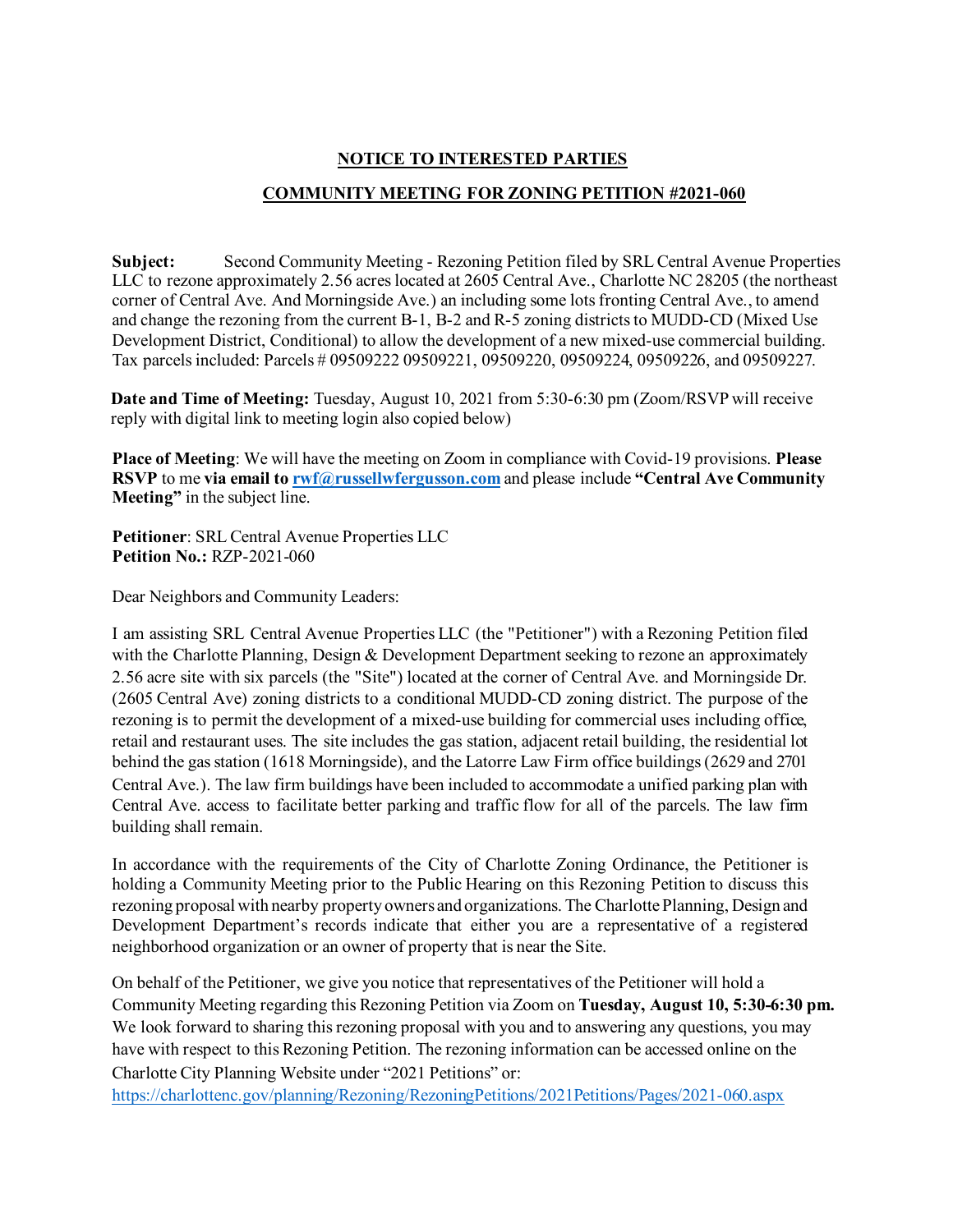## **NOTICE TO INTERESTED PARTIES**

## **COMMUNITY MEETING FOR ZONING PETITION #2021-060**

**Subject:** Second Community Meeting - Rezoning Petition filed by SRL Central Avenue Properties LLC to rezone approximately 2.56 acres located at 2605 Central Ave., Charlotte NC 28205 (the northeast corner of Central Ave. And Morningside Ave.) an including some lots fronting Central Ave., to amend and change the rezoning from the current B-1, B-2 and R-5 zoning districts to MUDD-CD (Mixed Use Development District, Conditional) to allow the development of a new mixed-use commercial building. Tax parcels included: Parcels # 09509222 09509221, 09509220, 09509224, 09509226, and 09509227.

**Date and Time of Meeting:** Tuesday, August 10, 2021 from 5:30-6:30 pm (Zoom/RSVP will receive reply with digital link to meeting login also copied below)

**Place of Meeting**: We will have the meeting on Zoom in compliance with Covid-19 provisions. **Please RSVP** to me **via email to [rwf@russellwfergusson.com](mailto:rwf@russellwfergusson.com)** and please include **"Central Ave Community Meeting"** in the subject line.

**Petitioner**: SRL Central Avenue Properties LLC **Petition No.:** RZP-2021-060

Dear Neighbors and Community Leaders:

I am assisting SRL Central Avenue Properties LLC (the "Petitioner") with a Rezoning Petition filed with the Charlotte Planning, Design & Development Department seeking to rezone an approximately 2.56 acre site with six parcels (the "Site") located at the corner of Central Ave. and Morningside Dr. (2605 Central Ave) zoning districts to a conditional MUDD-CD zoning district. The purpose of the rezoning is to permit the development of a mixed-use building for commercial uses including office, retail and restaurant uses. The site includes the gas station, adjacent retail building, the residential lot behind the gas station (1618 Morningside), and the Latorre Law Firm office buildings (2629 and 2701 Central Ave.). The law firm buildings have been included to accommodate a unified parking plan with Central Ave. access to facilitate better parking and traffic flow for all of the parcels. The law firm building shall remain.

In accordance with the requirements of the City of Charlotte Zoning Ordinance, the Petitioner is holding a Community Meeting prior to the Public Hearing on this Rezoning Petition to discuss this rezoning proposal with nearby property owners and organizations. The Charlotte Planning, Design and Development Department's records indicate that either you are a representative of a registered neighborhood organization or an owner of property that is near the Site.

On behalf of the Petitioner, we give you notice that representatives of the Petitioner will hold a Community Meeting regarding this Rezoning Petition via Zoom on **Tuesday, August 10, 5:30-6:30 pm.** We look forward to sharing this rezoning proposal with you and to answering any questions, you may have with respect to this Rezoning Petition. The rezoning information can be accessed online on the Charlotte City Planning Website under "2021 Petitions" or:

<https://charlottenc.gov/planning/Rezoning/RezoningPetitions/2021Petitions/Pages/2021-060.aspx>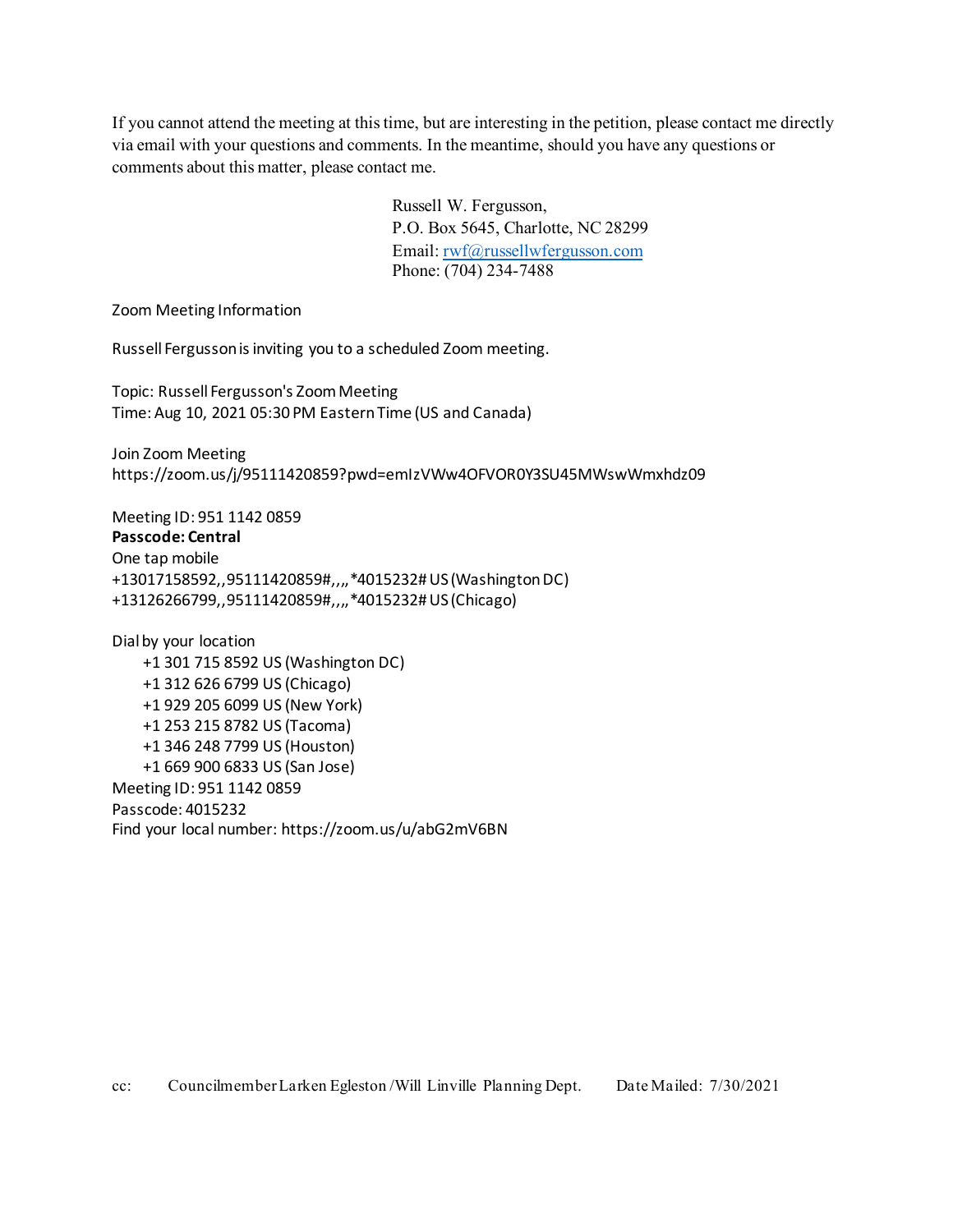If you cannot attend the meeting at this time, but are interesting in the petition, please contact me directly via email with your questions and comments. In the meantime, should you have any questions or comments about this matter, please contact me.

> Russell W. Fergusson, P.O. Box 5645, Charlotte, NC 28299 Email[: rwf@russellwfergusson.com](mailto:rwf@russellwfergusson.com) Phone: (704) 234-7488

Zoom Meeting Information

Russell Fergusson is inviting you to a scheduled Zoom meeting.

Topic: Russell Fergusson's Zoom Meeting Time: Aug 10, 2021 05:30 PM Eastern Time (US and Canada)

Join Zoom Meeting https://zoom.us/j/95111420859?pwd=emIzVWw4OFVOR0Y3SU45MWswWmxhdz09

Meeting ID: 951 1142 0859 **Passcode: Central** One tap mobile +13017158592,,95111420859#,,,,\*4015232# US (Washington DC) +13126266799,,95111420859#,,,,\*4015232# US (Chicago)

Dial by your location +1 301 715 8592 US (Washington DC) +1 312 626 6799 US (Chicago) +1 929 205 6099 US (New York) +1 253 215 8782 US (Tacoma) +1 346 248 7799 US (Houston) +1 669 900 6833 US (San Jose) Meeting ID: 951 1142 0859 Passcode: 4015232 Find your local number: https://zoom.us/u/abG2mV6BN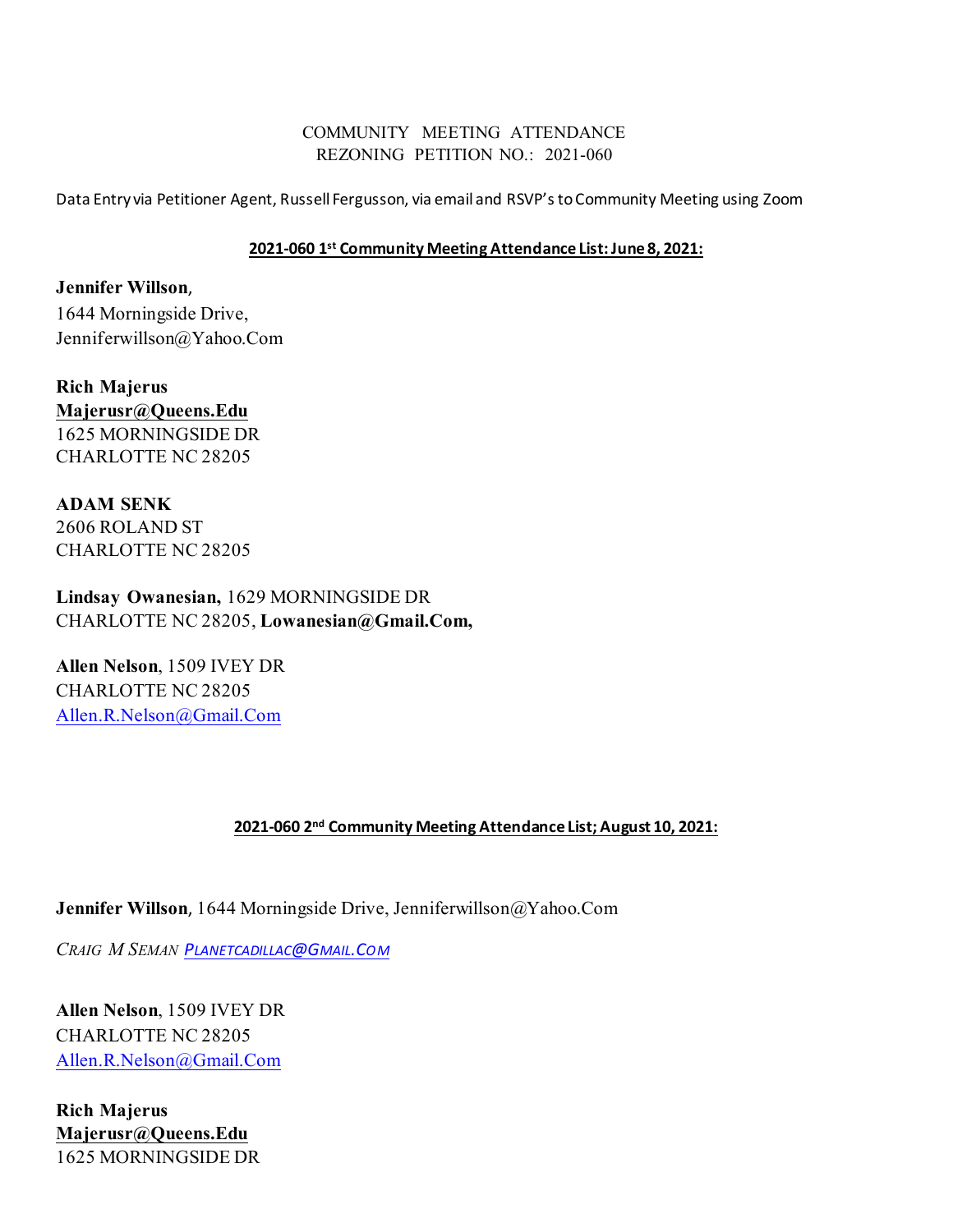# COMMUNITY MEETING ATTENDANCE REZONING PETITION NO.: 2021-060

Data Entry via Petitioner Agent, Russell Fergusson, via email and RSVP'sto Community Meeting using Zoom

## **2021-060 1st Community Meeting Attendance List: June 8, 2021:**

**Jennifer Willson**, 1644 Morningside Drive, Jenniferwillson@Yahoo.Com

**Rich Majerus [Majerusr@Queens.Edu](mailto:majerusr@queens.edu)** 1625 MORNINGSIDE DR CHARLOTTE NC 28205

**ADAM SENK** 2606 ROLAND ST CHARLOTTE NC 28205

**Lindsay Owanesian,** 1629 MORNINGSIDE DR CHARLOTTE NC 28205, **Lowanesian@Gmail.Com,** 

**Allen Nelson**, 1509 IVEY DR CHARLOTTE NC 28205 [Allen.R.Nelson@Gmail.Com](mailto:Allen.R.Nelson@Gmail.Com)

## **2021-060 2nd Community Meeting Attendance List; August 10, 2021:**

**Jennifer Willson**, 1644 Morningside Drive, Jenniferwillson@Yahoo.Com

*CRAIG M SEMAN [PLANETCADILLAC@GMAIL.COM](mailto:Planetcadillac@Gmail.Com)*

**Allen Nelson**, 1509 IVEY DR CHARLOTTE NC 28205 [Allen.R.Nelson@Gmail.Com](mailto:Allen.R.Nelson@Gmail.Com)

**Rich Majerus [Majerusr@Queens.Edu](mailto:majerusr@queens.edu)** 1625 MORNINGSIDE DR